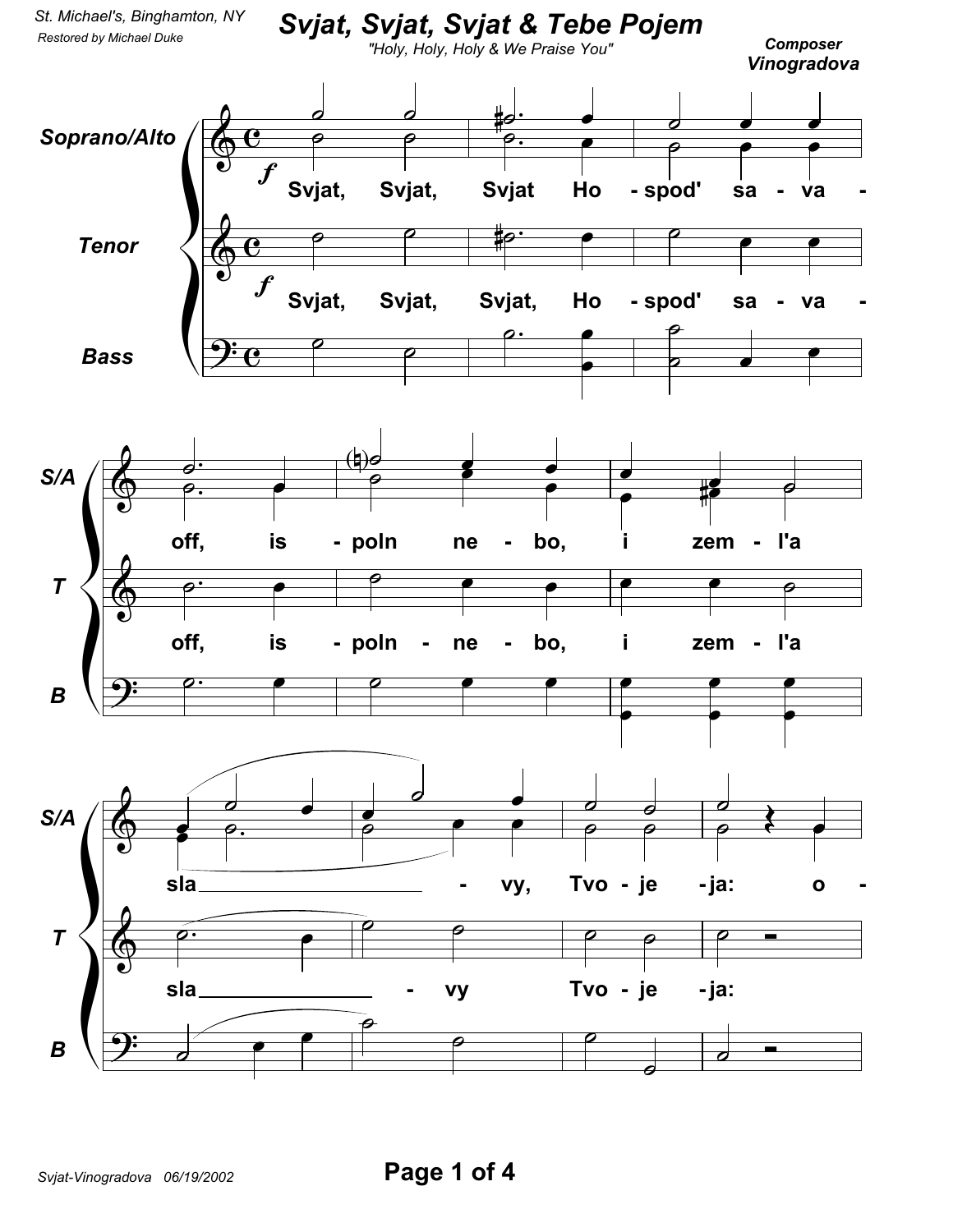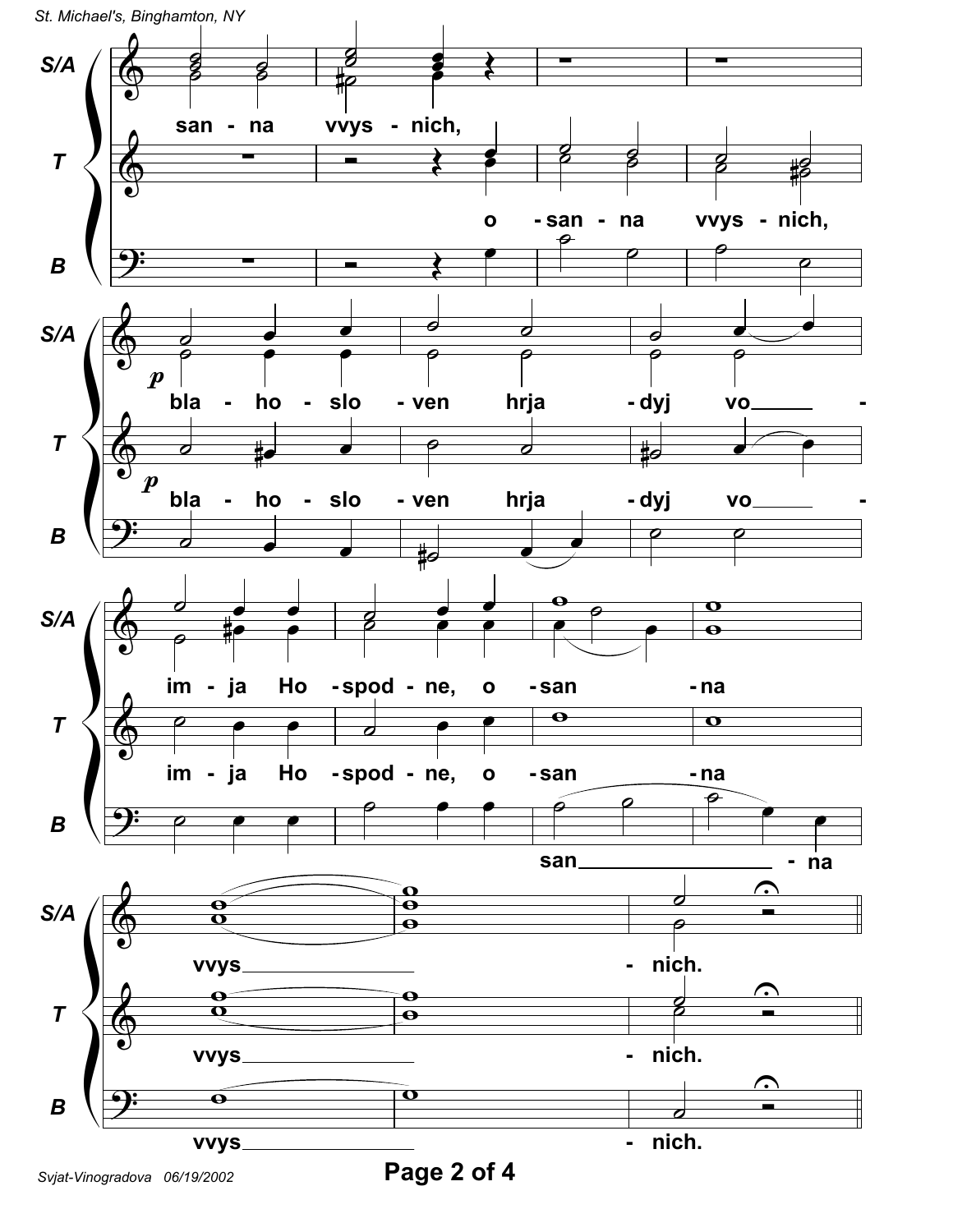

*Svjat-Vinogradova 06/19/2002* **Page 2 of 4**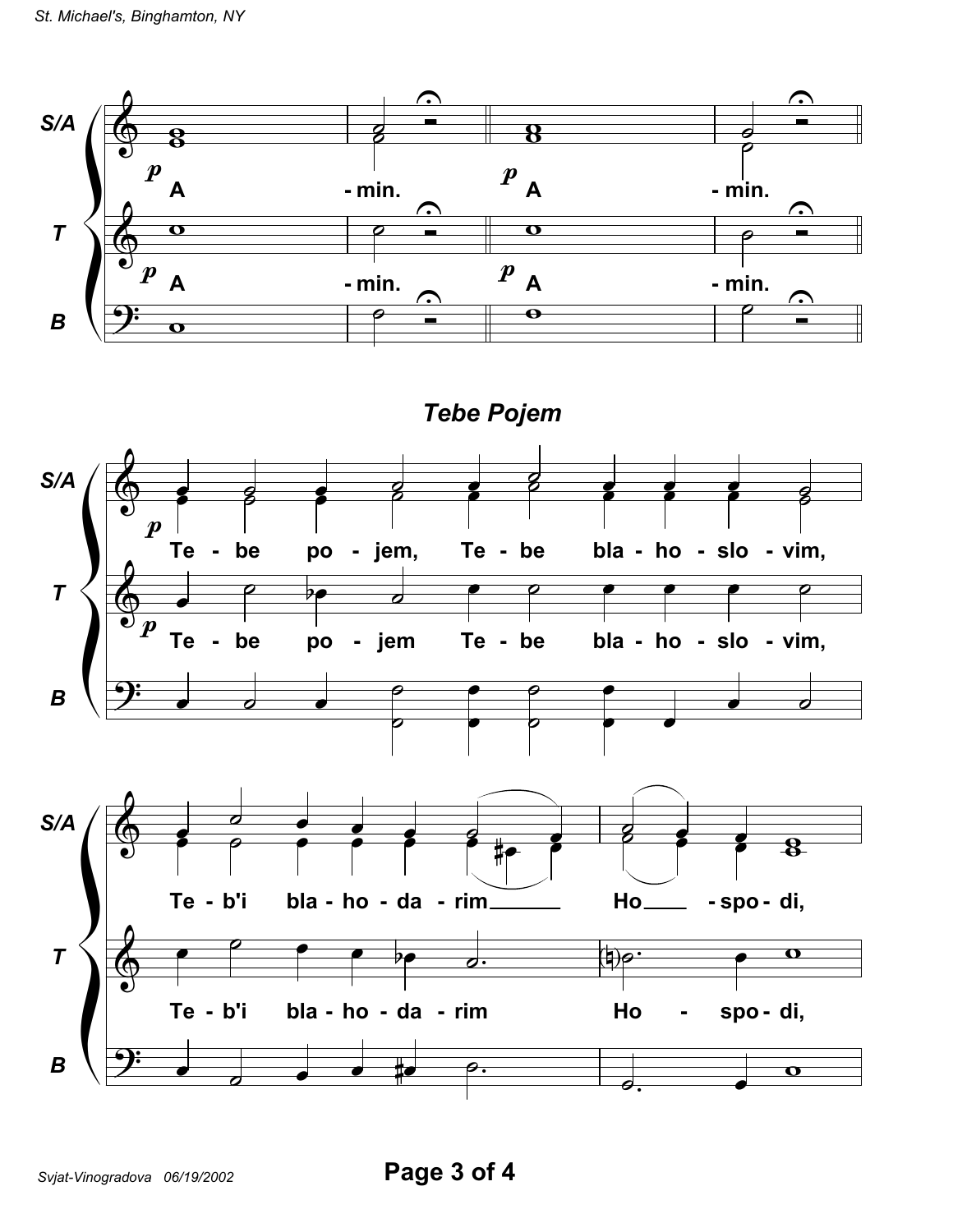